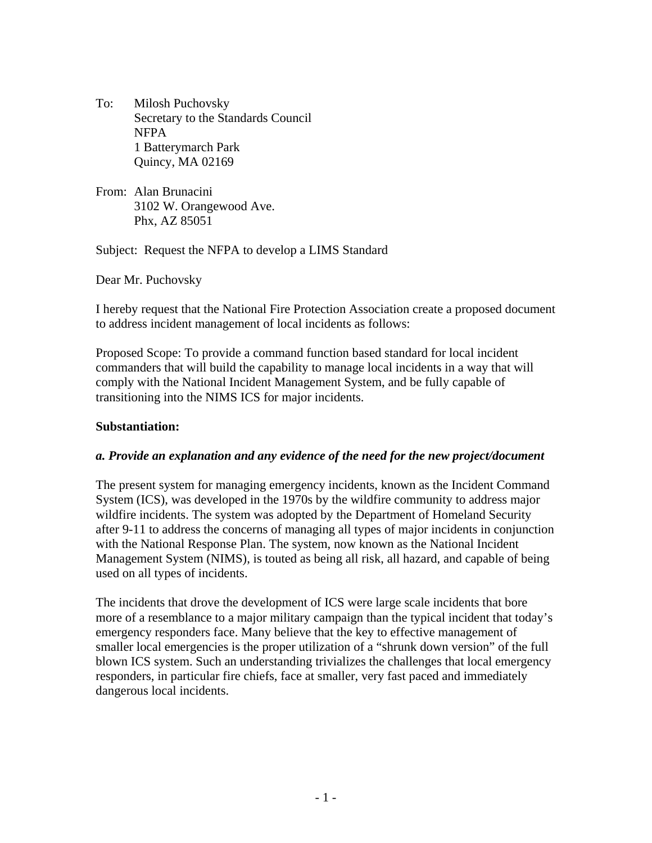To: Milosh Puchovsky Secretary to the Standards Council NFPA 1 Batterymarch Park Quincy, MA 02169

From: Alan Brunacini 3102 W. Orangewood Ave. Phx, AZ 85051

Subject: Request the NFPA to develop a LIMS Standard

Dear Mr. Puchovsky

I hereby request that the National Fire Protection Association create a proposed document to address incident management of local incidents as follows:

Proposed Scope: To provide a command function based standard for local incident commanders that will build the capability to manage local incidents in a way that will comply with the National Incident Management System, and be fully capable of transitioning into the NIMS ICS for major incidents.

## **Substantiation:**

#### *a. Provide an explanation and any evidence of the need for the new project/document*

The present system for managing emergency incidents, known as the Incident Command System (ICS), was developed in the 1970s by the wildfire community to address major wildfire incidents. The system was adopted by the Department of Homeland Security after 9-11 to address the concerns of managing all types of major incidents in conjunction with the National Response Plan. The system, now known as the National Incident Management System (NIMS), is touted as being all risk, all hazard, and capable of being used on all types of incidents.

The incidents that drove the development of ICS were large scale incidents that bore more of a resemblance to a major military campaign than the typical incident that today's emergency responders face. Many believe that the key to effective management of smaller local emergencies is the proper utilization of a "shrunk down version" of the full blown ICS system. Such an understanding trivializes the challenges that local emergency responders, in particular fire chiefs, face at smaller, very fast paced and immediately dangerous local incidents.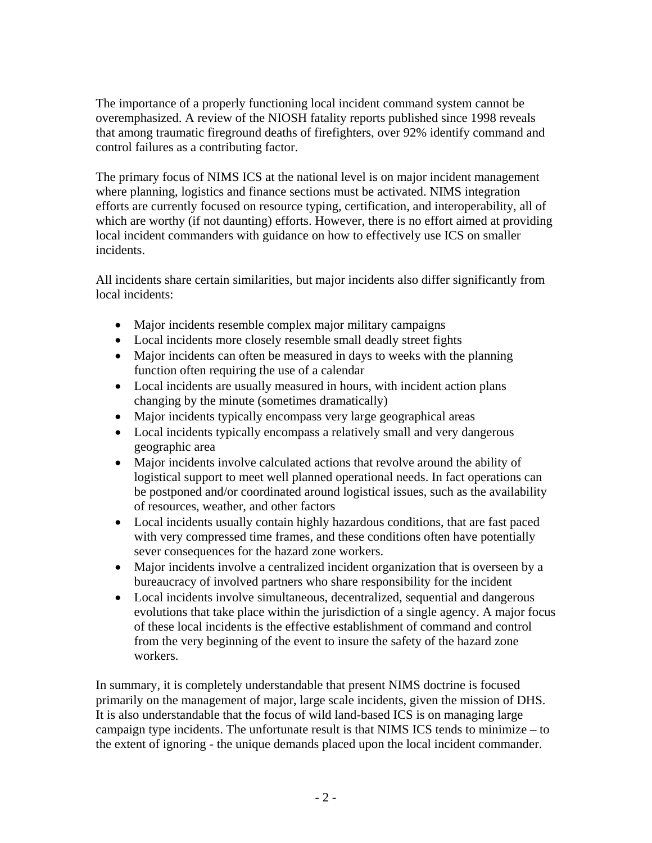The importance of a properly functioning local incident command system cannot be overemphasized. A review of the NIOSH fatality reports published since 1998 reveals that among traumatic fireground deaths of firefighters, over 92% identify command and control failures as a contributing factor.

The primary focus of NIMS ICS at the national level is on major incident management where planning, logistics and finance sections must be activated. NIMS integration efforts are currently focused on resource typing, certification, and interoperability, all of which are worthy (if not daunting) efforts. However, there is no effort aimed at providing local incident commanders with guidance on how to effectively use ICS on smaller incidents.

All incidents share certain similarities, but major incidents also differ significantly from local incidents:

- Major incidents resemble complex major military campaigns
- Local incidents more closely resemble small deadly street fights
- Major incidents can often be measured in days to weeks with the planning function often requiring the use of a calendar
- Local incidents are usually measured in hours, with incident action plans changing by the minute (sometimes dramatically)
- Major incidents typically encompass very large geographical areas
- Local incidents typically encompass a relatively small and very dangerous geographic area
- Major incidents involve calculated actions that revolve around the ability of logistical support to meet well planned operational needs. In fact operations can be postponed and/or coordinated around logistical issues, such as the availability of resources, weather, and other factors
- Local incidents usually contain highly hazardous conditions, that are fast paced with very compressed time frames, and these conditions often have potentially sever consequences for the hazard zone workers.
- Major incidents involve a centralized incident organization that is overseen by a bureaucracy of involved partners who share responsibility for the incident
- Local incidents involve simultaneous, decentralized, sequential and dangerous evolutions that take place within the jurisdiction of a single agency. A major focus of these local incidents is the effective establishment of command and control from the very beginning of the event to insure the safety of the hazard zone workers.

In summary, it is completely understandable that present NIMS doctrine is focused primarily on the management of major, large scale incidents, given the mission of DHS. It is also understandable that the focus of wild land-based ICS is on managing large campaign type incidents. The unfortunate result is that NIMS ICS tends to minimize – to the extent of ignoring - the unique demands placed upon the local incident commander.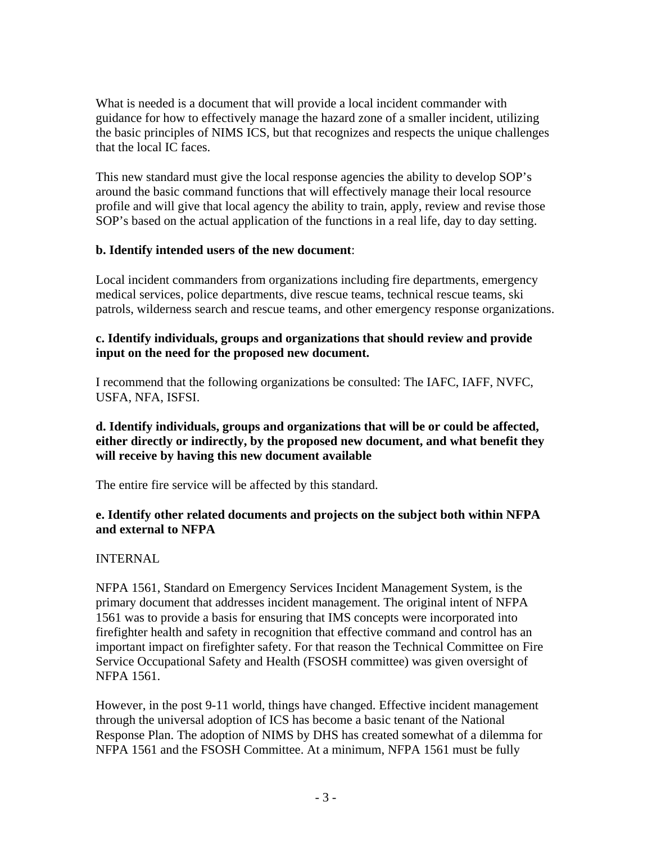What is needed is a document that will provide a local incident commander with guidance for how to effectively manage the hazard zone of a smaller incident, utilizing the basic principles of NIMS ICS, but that recognizes and respects the unique challenges that the local IC faces.

This new standard must give the local response agencies the ability to develop SOP's around the basic command functions that will effectively manage their local resource profile and will give that local agency the ability to train, apply, review and revise those SOP's based on the actual application of the functions in a real life, day to day setting.

### **b. Identify intended users of the new document**:

Local incident commanders from organizations including fire departments, emergency medical services, police departments, dive rescue teams, technical rescue teams, ski patrols, wilderness search and rescue teams, and other emergency response organizations.

## **c. Identify individuals, groups and organizations that should review and provide input on the need for the proposed new document.**

I recommend that the following organizations be consulted: The IAFC, IAFF, NVFC, USFA, NFA, ISFSI.

#### **d. Identify individuals, groups and organizations that will be or could be affected, either directly or indirectly, by the proposed new document, and what benefit they will receive by having this new document available**

The entire fire service will be affected by this standard.

### **e. Identify other related documents and projects on the subject both within NFPA and external to NFPA**

# INTERNAL

NFPA 1561, Standard on Emergency Services Incident Management System, is the primary document that addresses incident management. The original intent of NFPA 1561 was to provide a basis for ensuring that IMS concepts were incorporated into firefighter health and safety in recognition that effective command and control has an important impact on firefighter safety. For that reason the Technical Committee on Fire Service Occupational Safety and Health (FSOSH committee) was given oversight of NFPA 1561.

However, in the post 9-11 world, things have changed. Effective incident management through the universal adoption of ICS has become a basic tenant of the National Response Plan. The adoption of NIMS by DHS has created somewhat of a dilemma for NFPA 1561 and the FSOSH Committee. At a minimum, NFPA 1561 must be fully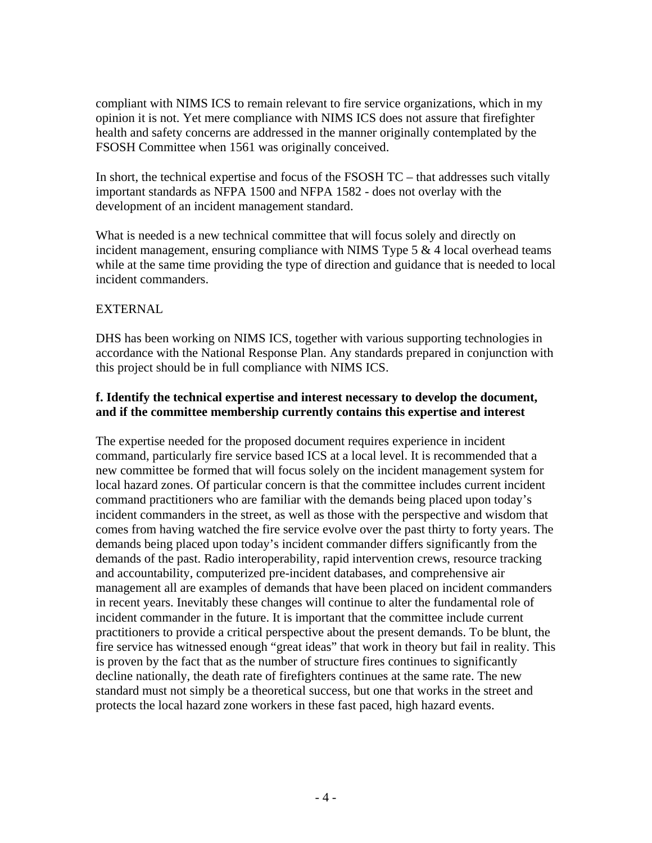compliant with NIMS ICS to remain relevant to fire service organizations, which in my opinion it is not. Yet mere compliance with NIMS ICS does not assure that firefighter health and safety concerns are addressed in the manner originally contemplated by the FSOSH Committee when 1561 was originally conceived.

In short, the technical expertise and focus of the FSOSH TC – that addresses such vitally important standards as NFPA 1500 and NFPA 1582 - does not overlay with the development of an incident management standard.

What is needed is a new technical committee that will focus solely and directly on incident management, ensuring compliance with NIMS Type  $5 \& 4$  local overhead teams while at the same time providing the type of direction and guidance that is needed to local incident commanders.

# EXTERNAL

DHS has been working on NIMS ICS, together with various supporting technologies in accordance with the National Response Plan. Any standards prepared in conjunction with this project should be in full compliance with NIMS ICS.

### **f. Identify the technical expertise and interest necessary to develop the document, and if the committee membership currently contains this expertise and interest**

The expertise needed for the proposed document requires experience in incident command, particularly fire service based ICS at a local level. It is recommended that a new committee be formed that will focus solely on the incident management system for local hazard zones. Of particular concern is that the committee includes current incident command practitioners who are familiar with the demands being placed upon today's incident commanders in the street, as well as those with the perspective and wisdom that comes from having watched the fire service evolve over the past thirty to forty years. The demands being placed upon today's incident commander differs significantly from the demands of the past. Radio interoperability, rapid intervention crews, resource tracking and accountability, computerized pre-incident databases, and comprehensive air management all are examples of demands that have been placed on incident commanders in recent years. Inevitably these changes will continue to alter the fundamental role of incident commander in the future. It is important that the committee include current practitioners to provide a critical perspective about the present demands. To be blunt, the fire service has witnessed enough "great ideas" that work in theory but fail in reality. This is proven by the fact that as the number of structure fires continues to significantly decline nationally, the death rate of firefighters continues at the same rate. The new standard must not simply be a theoretical success, but one that works in the street and protects the local hazard zone workers in these fast paced, high hazard events.